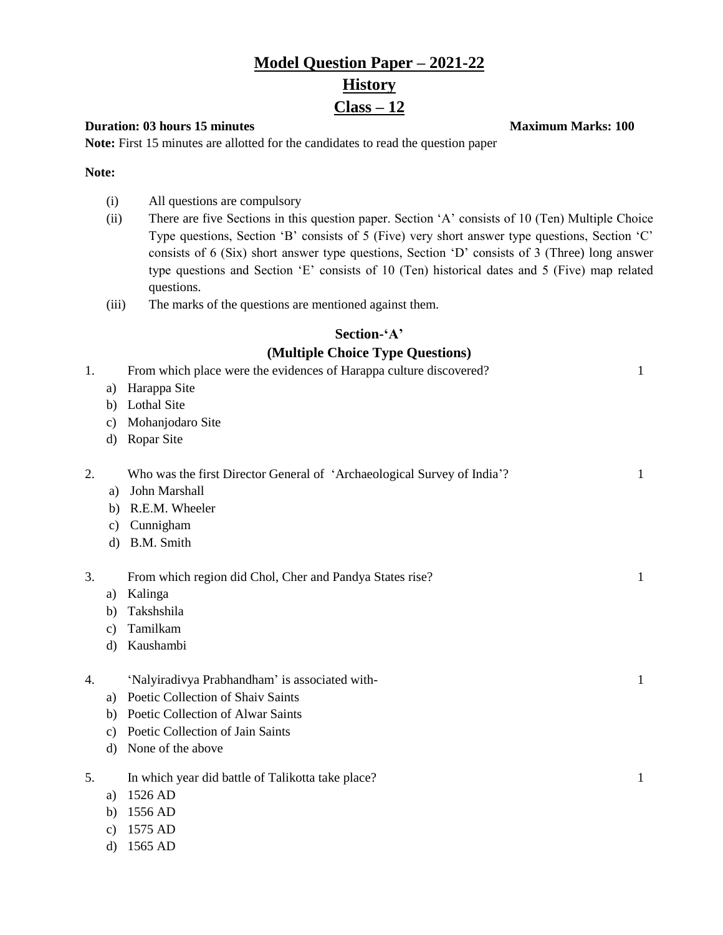# **Model Question Paper – 2021-22 History Class – 12**

#### **Duration: 03 hours 15 minutes Maximum Marks: 100**

**Note:** First 15 minutes are allotted for the candidates to read the question paper

**Note:**

- (i) All questions are compulsory
- (ii) There are five Sections in this question paper. Section 'A' consists of 10 (Ten) Multiple Choice Type questions, Section 'B' consists of 5 (Five) very short answer type questions, Section 'C' consists of 6 (Six) short answer type questions, Section 'D' consists of 3 (Three) long answer type questions and Section 'E' consists of 10 (Ten) historical dates and 5 (Five) map related questions.
- (iii) The marks of the questions are mentioned against them.

#### **Section-'A' (Multiple Choice Type Questions)**

|    |               | ( <i>viample Choice Type Questions</i> )                                |              |
|----|---------------|-------------------------------------------------------------------------|--------------|
| 1. |               | From which place were the evidences of Harappa culture discovered?      | $\mathbf{1}$ |
|    | a)            | Harappa Site                                                            |              |
|    | b)            | <b>Lothal Site</b>                                                      |              |
|    | c)            | Mohanjodaro Site                                                        |              |
|    | d)            | Ropar Site                                                              |              |
| 2. |               | Who was the first Director General of 'Archaeological Survey of India'? | $\mathbf 1$  |
|    | a)            | John Marshall                                                           |              |
|    | b)            | R.E.M. Wheeler                                                          |              |
|    | c)            | Cunnigham                                                               |              |
|    | $\mathbf{d}$  | B.M. Smith                                                              |              |
| 3. |               | From which region did Chol, Cher and Pandya States rise?                | 1            |
|    | a)            | Kalinga                                                                 |              |
|    | b)            | Takshshila                                                              |              |
|    | $\mathbf{c})$ | Tamilkam                                                                |              |
|    | d)            | Kaushambi                                                               |              |
| 4. |               | 'Nalyiradivya Prabhandham' is associated with-                          | $\mathbf{1}$ |
|    | a)            | Poetic Collection of Shaiv Saints                                       |              |
|    | b)            | Poetic Collection of Alwar Saints                                       |              |
|    | c)            | Poetic Collection of Jain Saints                                        |              |
|    | d)            | None of the above                                                       |              |
| 5. |               | In which year did battle of Talikotta take place?                       | $\mathbf{1}$ |
|    | a)            | 1526 AD                                                                 |              |
|    | b)            | 1556 AD                                                                 |              |
|    | $\mathbf{c})$ | 1575 AD                                                                 |              |

d) 1565 AD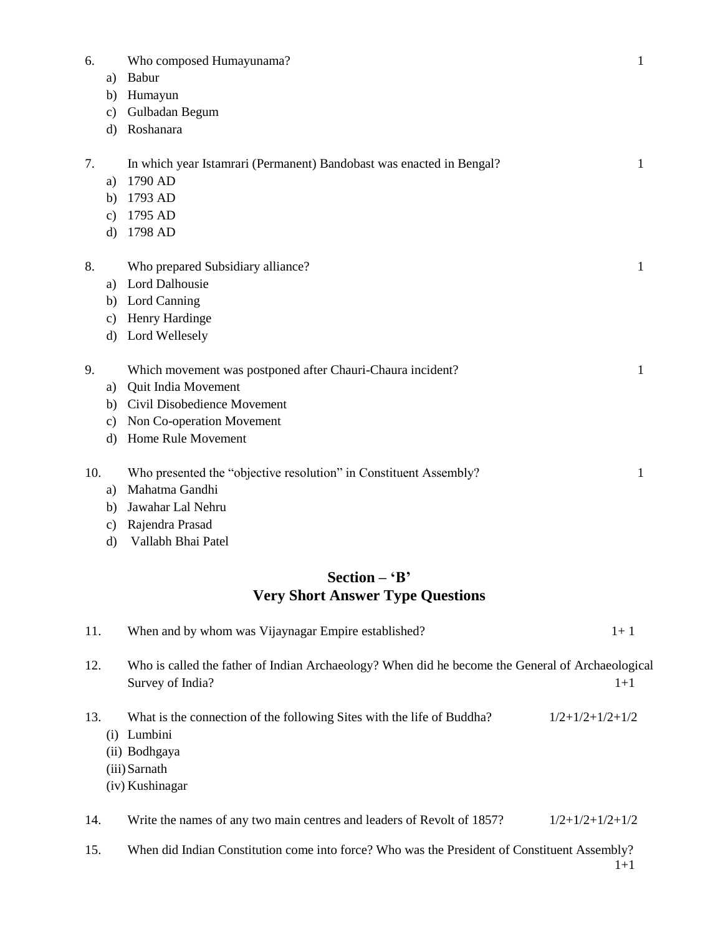| 6.  |               | Who composed Humayunama?                                             | $\mathbf{1}$ |
|-----|---------------|----------------------------------------------------------------------|--------------|
|     | a)            | Babur                                                                |              |
|     | b)            | Humayun                                                              |              |
|     | $\mathbf{c})$ | Gulbadan Begum                                                       |              |
|     | $\rm d$       | Roshanara                                                            |              |
| 7.  |               | In which year Istamrari (Permanent) Bandobast was enacted in Bengal? | $\mathbf{1}$ |
|     | a)            | 1790 AD                                                              |              |
|     | b)            | 1793 AD                                                              |              |
|     | $\mathbf{c})$ | 1795 AD                                                              |              |
|     | $\rm d$       | 1798 AD                                                              |              |
| 8.  |               | Who prepared Subsidiary alliance?                                    | $\mathbf{1}$ |
|     |               | a) Lord Dalhousie                                                    |              |
|     |               | b) Lord Canning                                                      |              |
|     | c)            | Henry Hardinge                                                       |              |
|     |               | d) Lord Wellesely                                                    |              |
| 9.  |               | Which movement was postponed after Chauri-Chaura incident?           | $\mathbf{1}$ |
|     | a)            | Quit India Movement                                                  |              |
|     |               | b) Civil Disobedience Movement                                       |              |
|     | c)            | Non Co-operation Movement                                            |              |
|     |               | d) Home Rule Movement                                                |              |
| 10. |               | Who presented the "objective resolution" in Constituent Assembly?    | $\mathbf{1}$ |
|     | a)            | Mahatma Gandhi                                                       |              |
|     | b)            | Jawahar Lal Nehru                                                    |              |
|     | $\mathbf{c})$ | Rajendra Prasad                                                      |              |
|     | $\rm d$       | Vallabh Bhai Patel                                                   |              |
|     |               | Section $-$ 'B'                                                      |              |
|     |               | <b>Very Short Answer Type Questions</b>                              |              |
| 11. |               | When and by whom was Vijaynagar Empire established?                  | $1 + 1$      |

- 12. Who is called the father of Indian Archaeology? When did he become the General of Archaeological Survey of India? 1<sup>+1</sup>
- 13. What is the connection of the following Sites with the life of Buddha?  $1/2+1/2+1/2+1/2$ 
	- (i) Lumbini
	- (ii) Bodhgaya
	- (iii) Sarnath
	- (iv) Kushinagar

14. Write the names of any two main centres and leaders of Revolt of 1857?  $1/2+1/2+1/2+1/2$ 

15. When did Indian Constitution come into force? Who was the President of Constituent Assembly? 1+1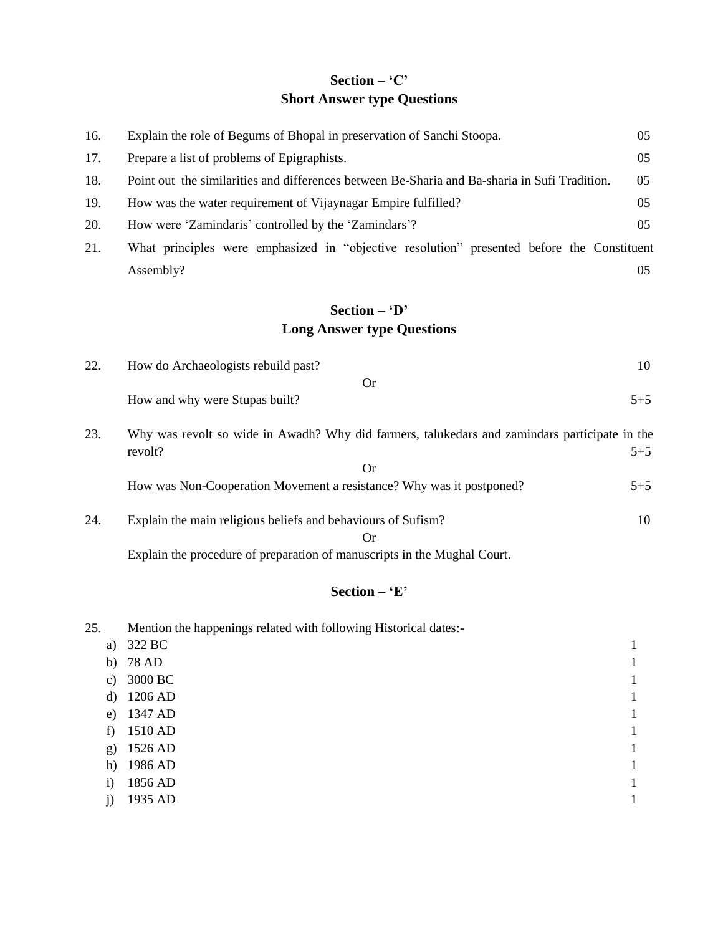## **Section – 'C' Short Answer type Questions**

| 16. | Explain the role of Begums of Bhopal in preservation of Sanchi Stoopa.                        | 05      |
|-----|-----------------------------------------------------------------------------------------------|---------|
| 17. | Prepare a list of problems of Epigraphists.                                                   | 05      |
| 18. | Point out the similarities and differences between Be-Sharia and Ba-sharia in Sufi Tradition. | 05      |
| 19. | How was the water requirement of Vijaynagar Empire fulfilled?                                 | 05      |
| 20. | How were 'Zamindaris' controlled by the 'Zamindars'?                                          | 05      |
| 21. | What principles were emphasized in "objective resolution" presented before the Constituent    |         |
|     | Assembly?                                                                                     | 05      |
|     | Section $ \cdot$ D'                                                                           |         |
|     | <b>Long Answer type Questions</b>                                                             |         |
| 22. | How do Archaeologists rebuild past?                                                           | 10      |
|     | <b>Or</b>                                                                                     |         |
|     | How and why were Stupas built?                                                                | $5 + 5$ |
| 23. | Why was revolt so wide in Awadh? Why did farmers, talukedars and zamindars participate in the |         |
|     | revolt?                                                                                       | $5 + 5$ |
|     | <b>Or</b>                                                                                     |         |
|     | How was Non-Cooperation Movement a resistance? Why was it postponed?                          | $5 + 5$ |
| 24. | Explain the main religious beliefs and behaviours of Sufism?                                  | 10      |
|     | <b>Or</b>                                                                                     |         |
|     | Explain the procedure of preparation of manuscripts in the Mughal Court.                      |         |

### **Section – 'E'**

25. Mention the happenings related with following Historical dates: a) 322 BC 1 b) 78 AD 1 c) 3000 BC 1 d) 1206 AD 1206 AD e) 1347 AD 1 f) 1510 AD 1 g) 1526 AD 1 h) 1986 AD 1 i) 1856 AD 1 j) 1935 AD 1